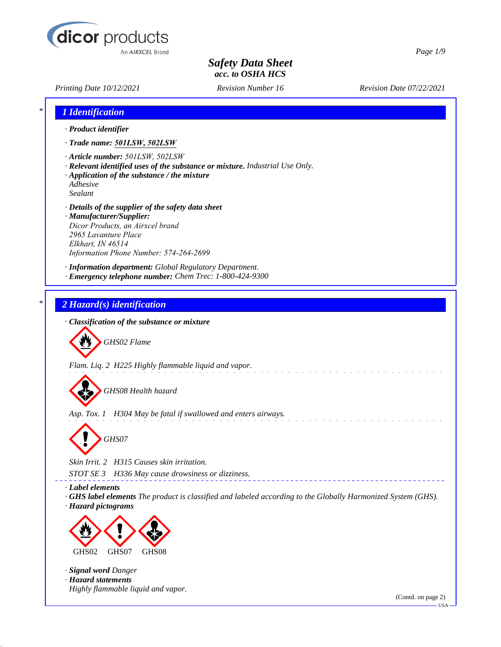

*Printing Date 10/12/2021 Revision Number 16 Revision Date 07/22/2021*

*Page 1/9*

|         | 1 Identification                                                                                                                                                                                               |
|---------|----------------------------------------------------------------------------------------------------------------------------------------------------------------------------------------------------------------|
|         | · Product identifier                                                                                                                                                                                           |
|         | · Trade name: 501LSW, 502LSW                                                                                                                                                                                   |
| Sealant | · Article number: 501LSW, 502LSW<br>· Relevant identified uses of the substance or mixture. Industrial Use Only.<br>$\cdot$ Application of the substance / the mixture<br>Adhesive                             |
|         | · Details of the supplier of the safety data sheet<br>· Manufacturer/Supplier:<br>Dicor Products, an Airxcel brand<br>2965 Lavanture Place<br>Elkhart, IN 46514<br>Information Phone Number: 574-264-2699      |
|         | · Information department: Global Regulatory Department.<br>· Emergency telephone number: Chem Trec: 1-800-424-9300                                                                                             |
|         | 2 Hazard(s) identification                                                                                                                                                                                     |
|         | · Classification of the substance or mixture                                                                                                                                                                   |
|         | GHS02 Flame                                                                                                                                                                                                    |
|         | Flam. Liq. 2 H225 Highly flammable liquid and vapor.<br>GHS08 Health hazard                                                                                                                                    |
|         |                                                                                                                                                                                                                |
|         | Asp. Tox. 1 H304 May be fatal if swallowed and enters airways.                                                                                                                                                 |
|         | GHS07                                                                                                                                                                                                          |
|         | Skin Irrit. 2 H315 Causes skin irritation.                                                                                                                                                                     |
|         | H336 May cause drowsiness or dizziness.<br>STOT SE 3<br>· Label elements<br>GHS label elements The product is classified and labeled according to the Globally Harmonized System (GHS).<br>· Hazard pictograms |
|         |                                                                                                                                                                                                                |
|         | GHS07<br>GHS02<br>GHS08                                                                                                                                                                                        |
|         | · Signal word Danger<br>· Hazard statements                                                                                                                                                                    |
|         | Highly flammable liquid and vapor.<br>(Contd. on page 2)                                                                                                                                                       |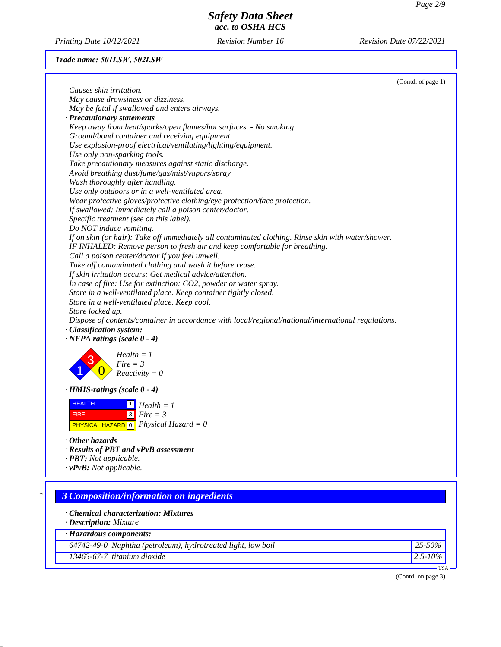*Printing Date 10/12/2021 Revision Number 16 Revision Date 07/22/2021*

# *Trade name: 501LSW, 502LSW*

|                                                                                                     | (Contd. of page 1) |
|-----------------------------------------------------------------------------------------------------|--------------------|
| Causes skin irritation.                                                                             |                    |
| May cause drowsiness or dizziness.                                                                  |                    |
| May be fatal if swallowed and enters airways.                                                       |                    |
| · Precautionary statements                                                                          |                    |
| Keep away from heat/sparks/open flames/hot surfaces. - No smoking.                                  |                    |
| Ground/bond container and receiving equipment.                                                      |                    |
| Use explosion-proof electrical/ventilating/lighting/equipment.                                      |                    |
| Use only non-sparking tools.                                                                        |                    |
| Take precautionary measures against static discharge.                                               |                    |
| Avoid breathing dust/fume/gas/mist/vapors/spray                                                     |                    |
| Wash thoroughly after handling.                                                                     |                    |
| Use only outdoors or in a well-ventilated area.                                                     |                    |
| Wear protective gloves/protective clothing/eye protection/face protection.                          |                    |
| If swallowed: Immediately call a poison center/doctor.                                              |                    |
| Specific treatment (see on this label).                                                             |                    |
| Do NOT induce vomiting.                                                                             |                    |
| If on skin (or hair): Take off immediately all contaminated clothing. Rinse skin with water/shower. |                    |
| IF INHALED: Remove person to fresh air and keep comfortable for breathing.                          |                    |
| Call a poison center/doctor if you feel unwell.                                                     |                    |
| Take off contaminated clothing and wash it before reuse.                                            |                    |
| If skin irritation occurs: Get medical advice/attention.                                            |                    |
| In case of fire: Use for extinction: CO2, powder or water spray.                                    |                    |
| Store in a well-ventilated place. Keep container tightly closed.                                    |                    |
| Store in a well-ventilated place. Keep cool.                                                        |                    |
| Store locked up.                                                                                    |                    |
| Dispose of contents/container in accordance with local/regional/national/international regulations. |                    |
| · Classification system:                                                                            |                    |
| $\cdot$ NFPA ratings (scale 0 - 4)                                                                  |                    |
| $Health = 1$<br>$Fire = 3$                                                                          |                    |
| $Reactivity = 0$                                                                                    |                    |
|                                                                                                     |                    |
| $\cdot$ HMIS-ratings (scale 0 - 4)                                                                  |                    |
| <b>HEALTH</b><br>$\Box$ Health = 1                                                                  |                    |
| $\sqrt{3}$<br>$Fire = 3$<br><b>FIRE</b>                                                             |                    |
| <b>PHYSICAL HAZARD</b> $\boxed{0}$ <i>Physical Hazard</i> = 0                                       |                    |
|                                                                                                     |                    |
| Other hazards                                                                                       |                    |
| · Results of PBT and vPvB assessment                                                                |                    |
| · <b>PBT</b> : Not applicable.                                                                      |                    |
| $\cdot$ vPvB: Not applicable.                                                                       |                    |
|                                                                                                     |                    |
|                                                                                                     |                    |
| 3 Composition/information on ingredients                                                            |                    |
| · Chemical characterization: Mixtures                                                               |                    |
| · Description: Mixture                                                                              |                    |
| · Hazardous components:                                                                             |                    |
| 64742-49-0 Naphtha (petroleum), hydrotreated light, low boil                                        | 25-50%             |
| 13463-67-7 titanium dioxide                                                                         | $2.5 - 10\%$       |
|                                                                                                     | $USA -$            |
|                                                                                                     |                    |

(Contd. on page 3)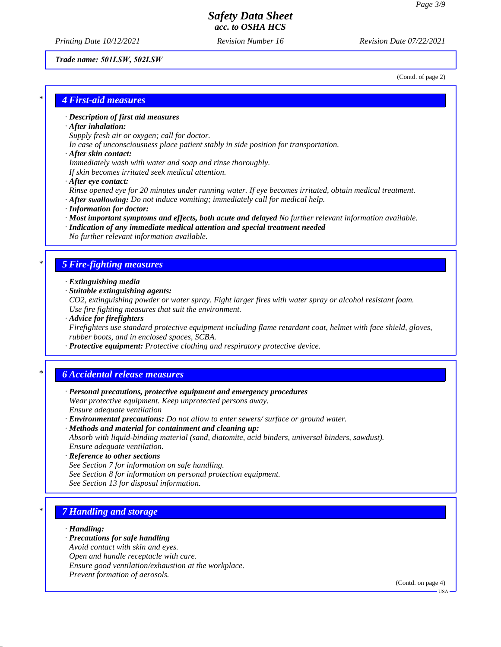*Printing Date 10/12/2021 Revision Number 16 Revision Date 07/22/2021*

#### *Trade name: 501LSW, 502LSW*

(Contd. of page 2)

### *\* 4 First-aid measures*

### *· Description of first aid measures*

#### *· After inhalation:*

*Supply fresh air or oxygen; call for doctor.*

*In case of unconsciousness place patient stably in side position for transportation.*

#### *· After skin contact:*

*Immediately wash with water and soap and rinse thoroughly.*

*If skin becomes irritated seek medical attention.*

*· After eye contact:*

*Rinse opened eye for 20 minutes under running water. If eye becomes irritated, obtain medical treatment. · After swallowing: Do not induce vomiting; immediately call for medical help.*

- 
- *· Information for doctor:*
- *· Most important symptoms and effects, both acute and delayed No further relevant information available.*
- *· Indication of any immediate medical attention and special treatment needed No further relevant information available.*

## *\* 5 Fire-fighting measures*

- *· Extinguishing media*
- *· Suitable extinguishing agents:*

*CO2, extinguishing powder or water spray. Fight larger fires with water spray or alcohol resistant foam. Use fire fighting measures that suit the environment.*

*· Advice for firefighters*

*Firefighters use standard protective equipment including flame retardant coat, helmet with face shield, gloves, rubber boots, and in enclosed spaces, SCBA.*

*· Protective equipment: Protective clothing and respiratory protective device.*

### *\* 6 Accidental release measures*

- *· Personal precautions, protective equipment and emergency procedures Wear protective equipment. Keep unprotected persons away. Ensure adequate ventilation*
- *· Environmental precautions: Do not allow to enter sewers/ surface or ground water.*
- *· Methods and material for containment and cleaning up: Absorb with liquid-binding material (sand, diatomite, acid binders, universal binders, sawdust). Ensure adequate ventilation.*
- *· Reference to other sections See Section 7 for information on safe handling.*
- *See Section 8 for information on personal protection equipment.*
- *See Section 13 for disposal information.*

## *\* 7 Handling and storage*

#### *· Handling:*

- *· Precautions for safe handling*
- *Avoid contact with skin and eyes.*
- *Open and handle receptacle with care.*
- *Ensure good ventilation/exhaustion at the workplace.*
- *Prevent formation of aerosols.*

(Contd. on page 4)

USA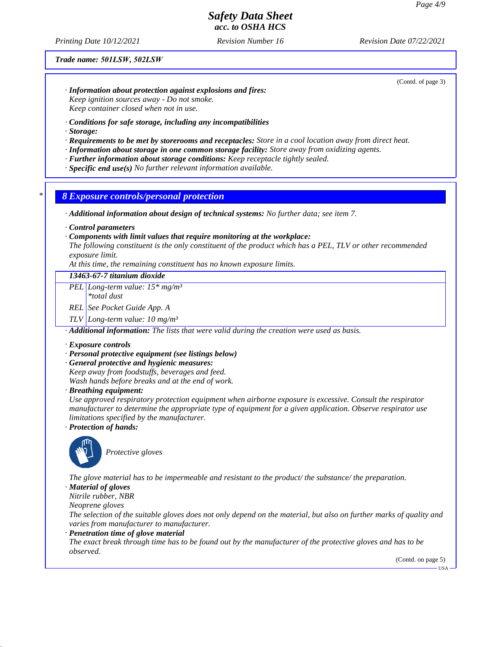*Printing Date 10/12/2021 Revision Number 16 Revision Date 07/22/2021*

#### *Trade name: 501LSW, 502LSW*

(Contd. of page 3)

- *· Information about protection against explosions and fires: Keep ignition sources away - Do not smoke. Keep container closed when not in use.*
- *· Conditions for safe storage, including any incompatibilities*
- *· Storage:*
- *· Requirements to be met by storerooms and receptacles: Store in a cool location away from direct heat.*
- *· Information about storage in one common storage facility: Store away from oxidizing agents.*
- *· Further information about storage conditions: Keep receptacle tightly sealed.*
- *· Specific end use(s) No further relevant information available.*

### *\* 8 Exposure controls/personal protection*

*· Additional information about design of technical systems: No further data; see item 7.*

*· Control parameters*

#### *· Components with limit values that require monitoring at the workplace:*

*The following constituent is the only constituent of the product which has a PEL, TLV or other recommended exposure limit.*

*At this time, the remaining constituent has no known exposure limits.*

### *13463-67-7 titanium dioxide*

*PEL Long-term value: 15\* mg/m³*

*\*total dust*

*REL See Pocket Guide App. A*

*TLV Long-term value: 10 mg/m³*

*· Additional information: The lists that were valid during the creation were used as basis.*

#### *· Exposure controls*

#### *· Personal protective equipment (see listings below)*

*· General protective and hygienic measures:*

*Keep away from foodstuffs, beverages and feed.*

*Wash hands before breaks and at the end of work.*

*· Breathing equipment:*

*Use approved respiratory protection equipment when airborne exposure is excessive. Consult the respirator manufacturer to determine the appropriate type of equipment for a given application. Observe respirator use limitations specified by the manufacturer.*

*· Protection of hands:*



*Protective gloves*

*The glove material has to be impermeable and resistant to the product/ the substance/ the preparation.*

*· Material of gloves*

*Nitrile rubber, NBR*

*Neoprene gloves*

*The selection of the suitable gloves does not only depend on the material, but also on further marks of quality and varies from manufacturer to manufacturer.*

*· Penetration time of glove material*

*The exact break through time has to be found out by the manufacturer of the protective gloves and has to be observed.*

(Contd. on page 5)

**HSA**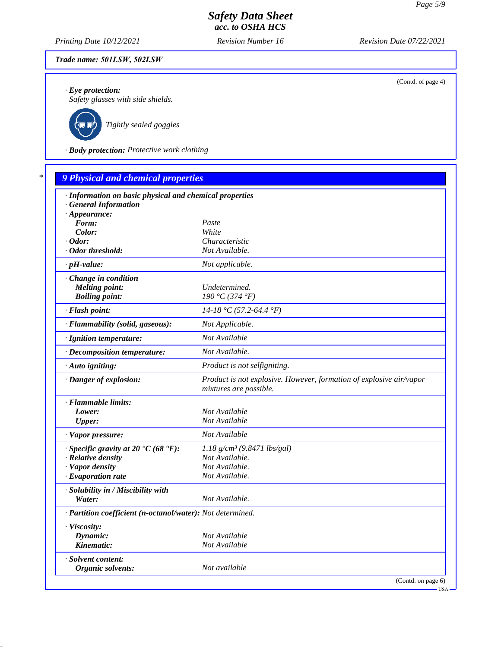*Printing Date 10/12/2021 Revision Number 16 Revision Date 07/22/2021*

### *Trade name: 501LSW, 502LSW*

*· Eye protection:*

*Safety glasses with side shields.*



*Tightly sealed goggles*

*· Body protection: Protective work clothing*

| · Information on basic physical and chemical properties    |                                                                                               |
|------------------------------------------------------------|-----------------------------------------------------------------------------------------------|
| · General Information                                      |                                                                                               |
| $\cdot$ Appearance:                                        |                                                                                               |
| Form:                                                      | Paste                                                                                         |
| Color:                                                     | White                                                                                         |
| $\cdot$ Odor:                                              | Characteristic                                                                                |
| · Odor threshold:                                          | Not Available.                                                                                |
| $\cdot$ pH-value:                                          | Not applicable.                                                                               |
| · Change in condition                                      |                                                                                               |
| <b>Melting point:</b>                                      | Undetermined.                                                                                 |
| <b>Boiling point:</b>                                      | 190 °C (374 °F)                                                                               |
| · Flash point:                                             | $14-18$ °C (57.2-64.4 °F)                                                                     |
| · Flammability (solid, gaseous):                           | Not Applicable.                                                                               |
| · Ignition temperature:                                    | Not Available                                                                                 |
| · Decomposition temperature:                               | Not Available.                                                                                |
| · Auto igniting:                                           | Product is not selfigniting.                                                                  |
| · Danger of explosion:                                     | Product is not explosive. However, formation of explosive air/vapor<br>mixtures are possible. |
| · Flammable limits:                                        |                                                                                               |
| Lower:                                                     | Not Available                                                                                 |
| <b>Upper:</b>                                              | Not Available                                                                                 |
| · Vapor pressure:                                          | Not Available                                                                                 |
| $\cdot$ Specific gravity at 20 °C (68 °F):                 | $1.18$ g/cm <sup>3</sup> (9.8471 lbs/gal)                                                     |
| · Relative density                                         | Not Available.                                                                                |
| · Vapor density                                            | Not Available.                                                                                |
| · Evaporation rate                                         | Not Available.                                                                                |
| · Solubility in / Miscibility with                         |                                                                                               |
| Water:                                                     | Not Available.                                                                                |
| · Partition coefficient (n-octanol/water): Not determined. |                                                                                               |
| · Viscosity:                                               |                                                                                               |
| Dynamic:                                                   | Not Available                                                                                 |
| Kinematic:                                                 | Not Available                                                                                 |
| · Solvent content:                                         |                                                                                               |
| Organic solvents:                                          | Not available                                                                                 |

(Contd. of page 4)

USA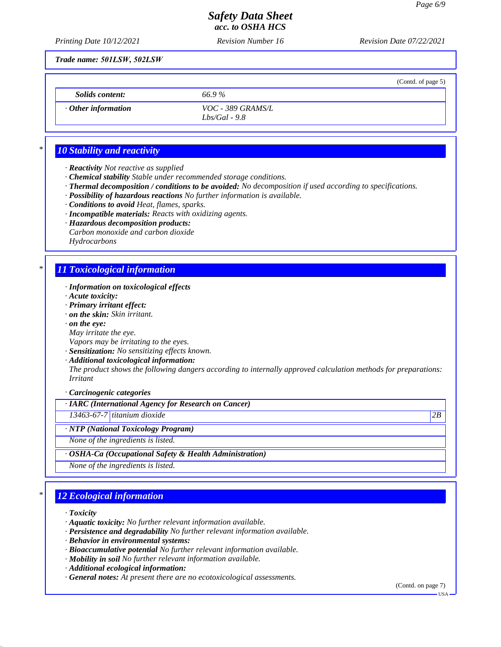(Contd. of page 5)

# *Safety Data Sheet acc. to OSHA HCS*

*Printing Date 10/12/2021 Revision Number 16 Revision Date 07/22/2021*

*Trade name: 501LSW, 502LSW*

*Solids content: 66.9 %*

*· Other information VOC - 389 GRAMS/L Lbs/Gal - 9.8*

# *\* 10 Stability and reactivity*

- *· Reactivity Not reactive as supplied*
- *· Chemical stability Stable under recommended storage conditions.*
- *· Thermal decomposition / conditions to be avoided: No decomposition if used according to specifications.*
- *· Possibility of hazardous reactions No further information is available.*
- *· Conditions to avoid Heat, flames, sparks.*
- *· Incompatible materials: Reacts with oxidizing agents.*
- *· Hazardous decomposition products:*
- *Carbon monoxide and carbon dioxide Hydrocarbons*

# *\* 11 Toxicological information*

- *· Information on toxicological effects*
- *· Acute toxicity:*
- *· Primary irritant effect:*
- *· on the skin: Skin irritant.*
- *· on the eye:*
- *May irritate the eye.*
- *Vapors may be irritating to the eyes.*
- *· Sensitization: No sensitizing effects known.*
- *· Additional toxicological information:*

*The product shows the following dangers according to internally approved calculation methods for preparations: Irritant*

*· Carcinogenic categories*

### *· IARC (International Agency for Research on Cancer)*

*13463-67-7 titanium dioxide 2B*

*· NTP (National Toxicology Program)*

*None of the ingredients is listed.*

### *· OSHA-Ca (Occupational Safety & Health Administration)*

*None of the ingredients is listed.*

# *\* 12 Ecological information*

- *· Toxicity*
- *· Aquatic toxicity: No further relevant information available.*
- *· Persistence and degradability No further relevant information available.*
- *· Behavior in environmental systems:*
- *· Bioaccumulative potential No further relevant information available.*
- *· Mobility in soil No further relevant information available.*
- *· Additional ecological information:*
- *· General notes: At present there are no ecotoxicological assessments.*

(Contd. on page 7)

USA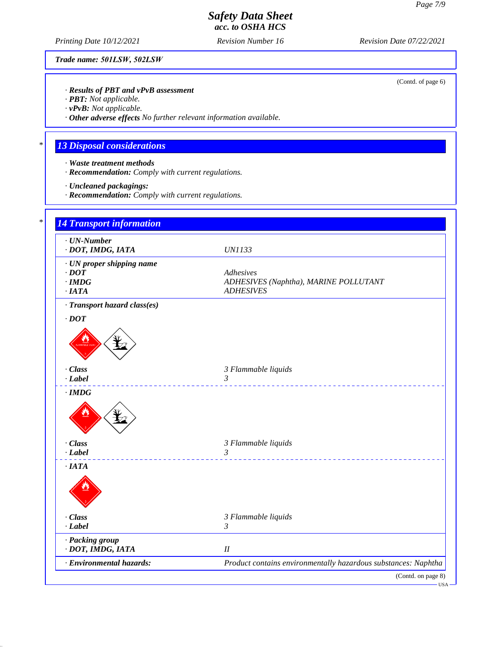(Contd. of page 6)

# *Safety Data Sheet acc. to OSHA HCS*

*Printing Date 10/12/2021 Revision Number 16 Revision Date 07/22/2021*

*Trade name: 501LSW, 502LSW*

*· Results of PBT and vPvB assessment*

*· PBT: Not applicable.*

*· vPvB: Not applicable.*

*· Other adverse effects No further relevant information available.*

# *\* 13 Disposal considerations*

- *· Waste treatment methods*
- *· Recommendation: Comply with current regulations.*
- *· Uncleaned packagings:*
- *· Recommendation: Comply with current regulations.*

| · DOT, IMDG, IATA                             | <b>UN1133</b>                                                            |
|-----------------------------------------------|--------------------------------------------------------------------------|
| · UN proper shipping name                     |                                                                          |
| $\cdot$ DOT                                   | Adhesives                                                                |
| $\cdot$ IMDG<br>·IATA                         | ADHESIVES (Naphtha), MARINE POLLUTANT<br><b>ADHESIVES</b>                |
| · Transport hazard class(es)                  |                                                                          |
| $\cdot$ DOT                                   |                                                                          |
|                                               |                                                                          |
|                                               |                                                                          |
| · Class                                       | 3 Flammable liquids                                                      |
| $-Label$                                      | 3<br>_______________________________                                     |
| $\cdot$ IMDG                                  |                                                                          |
|                                               |                                                                          |
| · Class                                       | 3 Flammable liquids                                                      |
| $-Label$                                      | $\mathfrak{Z}$<br><u>.</u>                                               |
| $\cdot$ IATA                                  |                                                                          |
|                                               |                                                                          |
| · Class                                       | 3 Flammable liquids                                                      |
| $-Label$                                      | $\mathfrak{Z}$                                                           |
| · Packing group                               |                                                                          |
| · DOT, IMDG, IATA<br>· Environmental hazards: | $I\!I$<br>Product contains environmentally hazardous substances: Naphtha |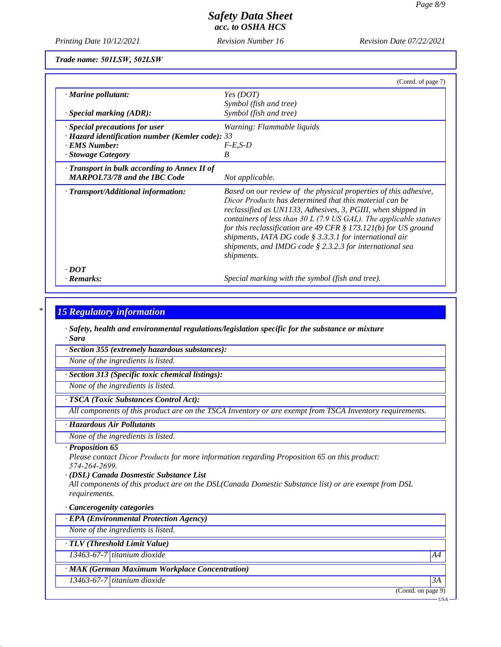*Printing Date 10/12/2021 Revision Number 16 Revision Date 07/22/2021*

*Trade name: 501LSW, 502LSW*

|                                                        | (Contd. of page 7)                                                                                                                                                                                                                                                                                                                                                                                                                                                                   |  |  |  |
|--------------------------------------------------------|--------------------------------------------------------------------------------------------------------------------------------------------------------------------------------------------------------------------------------------------------------------------------------------------------------------------------------------------------------------------------------------------------------------------------------------------------------------------------------------|--|--|--|
| $\cdot$ Marine pollutant:                              | Yes (DOT)                                                                                                                                                                                                                                                                                                                                                                                                                                                                            |  |  |  |
|                                                        | Symbol (fish and tree)                                                                                                                                                                                                                                                                                                                                                                                                                                                               |  |  |  |
| $\cdot$ Special marking (ADR):                         | Symbol (fish and tree)                                                                                                                                                                                                                                                                                                                                                                                                                                                               |  |  |  |
| Special precautions for user                           | Warning: Flammable liquids                                                                                                                                                                                                                                                                                                                                                                                                                                                           |  |  |  |
| $\cdot$ Hazard identification number (Kemler code): 33 |                                                                                                                                                                                                                                                                                                                                                                                                                                                                                      |  |  |  |
| · EMS Number:                                          | $F-E.S-D$                                                                                                                                                                                                                                                                                                                                                                                                                                                                            |  |  |  |
| · Stowage Category                                     | B                                                                                                                                                                                                                                                                                                                                                                                                                                                                                    |  |  |  |
| $\cdot$ Transport in bulk according to Annex II of     |                                                                                                                                                                                                                                                                                                                                                                                                                                                                                      |  |  |  |
| <b>MARPOL73/78 and the IBC Code</b>                    | Not applicable.                                                                                                                                                                                                                                                                                                                                                                                                                                                                      |  |  |  |
| · Transport/Additional information:                    | Based on our review of the physical properties of this adhesive,<br>Dicor Products has determined that this material can be<br>reclassified as UN1133, Adhesives, 3, PGIII, when shipped in<br>containers of less than $30 L$ (7.9 US GAL). The applicable statutes<br>for this reclassification are 49 CFR $\S 173.121(b)$ for US ground<br>shipments, IATA DG code $\S$ 3.3.3.1 for international air<br>shipments, and IMDG code $\S$ 2.3.2.3 for international sea<br>shipments. |  |  |  |
| $\cdot$ DOT                                            |                                                                                                                                                                                                                                                                                                                                                                                                                                                                                      |  |  |  |
| · Remarks:                                             | Special marking with the symbol (fish and tree).                                                                                                                                                                                                                                                                                                                                                                                                                                     |  |  |  |

### *\* 15 Regulatory information*

*· Safety, health and environmental regulations/legislation specific for the substance or mixture · Sara*

*· Section 355 (extremely hazardous substances):*

*None of the ingredients is listed.*

*· Section 313 (Specific toxic chemical listings):*

*None of the ingredients is listed.*

### *· TSCA (Toxic Substances Control Act):*

*All components of this product are on the TSCA Inventory or are exempt from TSCA Inventory requirements.*

### *· Hazardous Air Pollutants*

*None of the ingredients is listed.*

### *· Proposition 65*

*Please contact Dicor Products for more information regarding Proposition 65 on this product: 574-264-2699.*

#### *· (DSL) Canada Dosmestic Substance List*

*All components of this product are on the DSL(Canada Domestic Substance list) or are exempt from DSL requirements.*

### *· Cancerogenity categories*

*· EPA (Environmental Protection Agency)*

*None of the ingredients is listed.*

*· TLV (Threshold Limit Value)*

*13463-67-7 titanium dioxide A4*

### *· MAK (German Maximum Workplace Concentration)*

*13463-67-7 titanium dioxide 3A*

(Contd. on page 9)